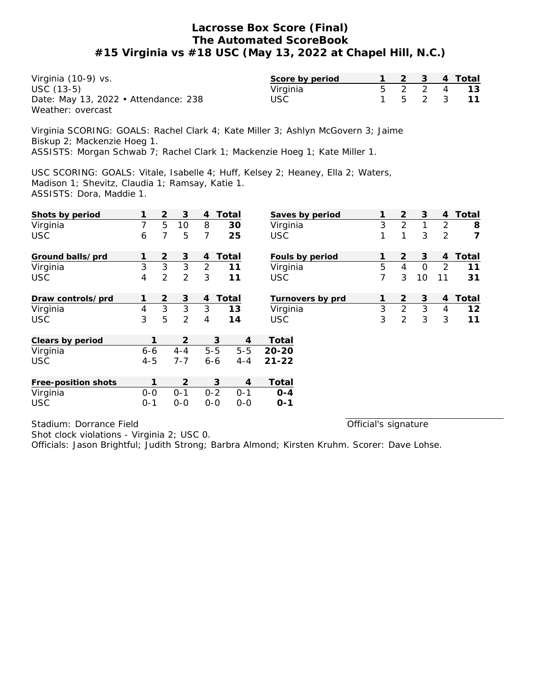Virginia (10-9) vs. USC (13-5) Date: May 13, 2022 • Attendance: 238 Weather: overcast

| Score by period |       |  | 4 Total |
|-----------------|-------|--|---------|
| Virginia        |       |  |         |
| USC             | $b -$ |  |         |

Official's signature

Virginia SCORING: GOALS: Rachel Clark 4; Kate Miller 3; Ashlyn McGovern 3; Jaime Biskup 2; Mackenzie Hoeg 1.

ASSISTS: Morgan Schwab 7; Rachel Clark 1; Mackenzie Hoeg 1; Kate Miller 1.

USC SCORING: GOALS: Vitale, Isabelle 4; Huff, Kelsey 2; Heaney, Ella 2; Waters, Madison 1; Shevitz, Claudia 1; Ramsay, Katie 1. ASSISTS: Dora, Maddie 1.

| Shots by period     |         | $\overline{2}$ | 3       | 4              | Total   |                | Saves by period  |   | 2              | 3        | 4              | Total |
|---------------------|---------|----------------|---------|----------------|---------|----------------|------------------|---|----------------|----------|----------------|-------|
| Virginia            | 7       | 5              | 10      | 8              | 30      |                | Virginia         | 3 | $\overline{2}$ | 1        | 2              | 8     |
| <b>USC</b>          | 6       | 7              | 5       | 7              | 25      | <b>USC</b>     |                  | 1 | 1              | 3        | 2              | 7     |
| Ground balls/prd    |         | 2              | 3       | 4              | Total   |                | Fouls by period  |   | $\overline{2}$ | 3        | 4              | Total |
| Virginia            | 3       | 3              | 3       | $\overline{2}$ | 11      |                | Virginia         | 5 | 4              | $\Omega$ | 2              | 11    |
| <b>USC</b>          | 4       | $\overline{2}$ | 2       | 3              | 11      | <b>USC</b>     |                  | 7 | 3              | 10       | 11             | 31    |
| Draw controls/prd   | 1       | $\overline{2}$ | 3       | 4              | Total   |                | Turnovers by prd | 1 | $\overline{2}$ | 3        | $\overline{4}$ | Total |
| Virginia            | 4       | 3              | 3       | 3              | 13      |                | Virginia         | 3 | $\overline{2}$ | 3        | $\overline{4}$ | 12    |
| <b>USC</b>          | 3       | 5              | 2       | 4              | 14      | <b>USC</b>     |                  | 3 | 2              | 3        | 3              | 11    |
| Clears by period    | 1       |                | 2       |                | 3       | $\overline{4}$ | Total            |   |                |          |                |       |
| Virginia            | $6 - 6$ |                | $4 - 4$ | $5 - 5$        | $5 - 5$ | $20 - 20$      |                  |   |                |          |                |       |
| <b>USC</b>          | $4 - 5$ |                | $7 - 7$ | $6 - 6$        | $4 - 4$ | $21 - 22$      |                  |   |                |          |                |       |
| Free-position shots | 1       |                | 2       |                | 3       | 4              | Total            |   |                |          |                |       |
| Virginia            | $0 - 0$ |                | $0 - 1$ | $0 - 2$        | $O - 1$ |                | $O - 4$          |   |                |          |                |       |
| <b>USC</b>          | $0 - 1$ |                | $0-0$   | $0 - 0$        | $0-0$   |                | $O-1$            |   |                |          |                |       |

Stadium: Dorrance Field

Shot clock violations - Virginia 2; USC 0.

Officials: Jason Brightful; Judith Strong; Barbra Almond; Kirsten Kruhm. Scorer: Dave Lohse.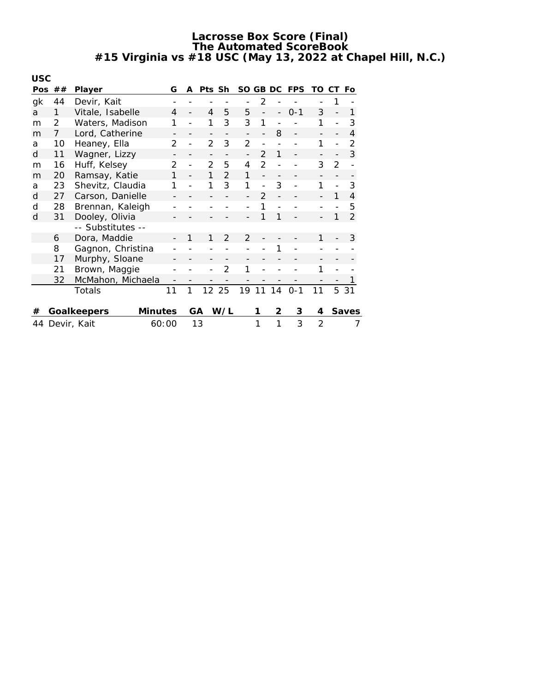| <b>USC</b> |                |                   |                |                |                |               |                |               |               |    |            |    |               |                |
|------------|----------------|-------------------|----------------|----------------|----------------|---------------|----------------|---------------|---------------|----|------------|----|---------------|----------------|
| Pos        | ##             | Player            |                | G              | A              | Pts Sh        |                | SO GB DC      |               |    | <b>FPS</b> | TO | СT            | Fo             |
| gk         | 44             | Devir, Kait       |                |                |                |               |                |               | 2             |    |            |    |               |                |
| a          | 1              | Vitale, Isabelle  |                | 4              |                | 4             | 5              | 5             |               |    | $0 - 1$    | 3  |               | 1              |
| m          | $\overline{2}$ | Waters, Madison   |                | 1              |                | 1             | 3              | 3             | 1             |    |            | 1  |               | 3              |
| m          | 7              | Lord, Catherine   |                |                |                |               |                |               |               | 8  |            |    |               | 4              |
| a          | 10             | Heaney, Ella      |                | $\mathcal{P}$  | $\overline{a}$ | $\mathcal{P}$ | 3              | $\mathcal{P}$ |               |    |            | 1  |               | $\mathcal{P}$  |
| d          | 11             | Wagner, Lizzy     |                |                |                |               |                |               | $\mathcal{P}$ | 1  |            |    |               | 3              |
| m          | 16             | Huff, Kelsey      |                | $\mathfrak{D}$ |                | $\mathcal{P}$ | 5              | 4             | $\mathcal{P}$ |    |            | 3  | $\mathcal{P}$ |                |
| m          | 20             | Ramsay, Katie     |                | 1              |                | 1             | $\mathfrak{D}$ | 1             |               |    |            |    |               |                |
| a          | 23             | Shevitz, Claudia  |                |                |                | 1             | 3              | 1             |               | 3  |            | 1  |               | 3              |
| d          | 27             | Carson, Danielle  |                |                |                |               |                |               | $\mathcal{P}$ |    |            |    | 1             | $\overline{4}$ |
| d          | 28             | Brennan, Kaleigh  |                |                |                |               |                |               |               |    |            |    |               | 5              |
| d          | 31             | Dooley, Olivia    |                |                |                |               |                |               | 1             | 1  |            |    |               | $\overline{2}$ |
|            |                | -- Substitutes -- |                |                |                |               |                |               |               |    |            |    |               |                |
|            | 6              | Dora, Maddie      |                |                | 1              | 1             | $\mathfrak{D}$ | $\mathcal{P}$ |               |    |            | 1  |               | 3              |
|            | 8              | Gagnon, Christina |                |                |                |               |                |               |               | 1  |            |    |               |                |
|            | 17             | Murphy, Sloane    |                |                |                |               |                |               |               |    |            |    |               |                |
|            | 21             | Brown, Maggie     |                |                |                |               | $\mathfrak{D}$ | 1             |               |    |            | 1  |               |                |
|            | 32             | McMahon, Michaela |                |                |                |               |                |               |               |    |            |    |               |                |
|            |                | Totals            |                | 11             | 1              | 12            | 25             | 19            | 11            | 14 | $0 - 1$    | 11 | 5             | 31             |
|            |                |                   |                |                |                |               |                |               |               |    |            |    |               |                |
| #          |                | Goalkeepers       | <b>Minutes</b> |                | GA             |               | W/L            |               | 1             | 2  | 3          | 4  |               | Saves          |
| 44         |                | Devir, Kait       | 60:00          |                |                | 13            |                |               | 1             | 1  | 3          | 2  |               | 7              |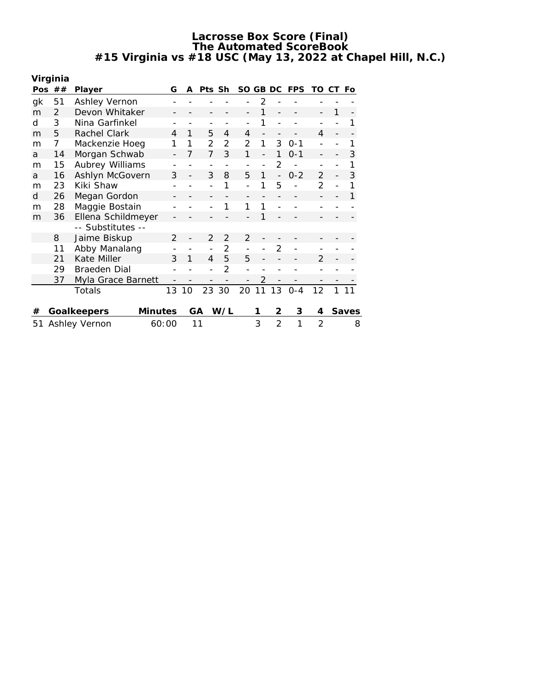|    | Virginia       |                    |                |    |               |                   |                          |                |                          |            |                   |    |       |
|----|----------------|--------------------|----------------|----|---------------|-------------------|--------------------------|----------------|--------------------------|------------|-------------------|----|-------|
|    | Pos $##$       | Player             | G              | A  | Pts Sh        |                   | SO.                      | GB DC          |                          | <b>FPS</b> | TO                | СT | Fo    |
| gk | 51             | Ashley Vernon      |                |    |               |                   |                          | 2              |                          |            |                   |    |       |
| m  | $\mathcal{P}$  | Devon Whitaker     |                |    |               |                   |                          |                |                          |            |                   |    |       |
| d  | 3              | Nina Garfinkel     |                |    |               |                   |                          | 1              |                          |            |                   |    | 1     |
| m  | 5              | Rachel Clark       | 4              | 1  | 5             | 4                 | $\overline{4}$           |                |                          |            | 4                 |    |       |
| m  | $\overline{7}$ | Mackenzie Hoeg     | 1              | 1  | $\mathcal{P}$ | $\mathfrak{D}$    | $\overline{2}$           | 1              | 3                        | $0 - 1$    |                   |    | 1     |
| a  | 14             | Morgan Schwab      |                | 7  | 7             | 3                 | 1                        |                | 1                        | $0 - 1$    |                   |    | 3     |
| m  | 15             | Aubrey Williams    |                |    |               |                   |                          | $\overline{a}$ | $\overline{2}$           |            |                   |    | 1     |
| a  | 16             | Ashlyn McGovern    | 3              |    | 3             | 8                 | 5                        | 1              | $\overline{a}$           | $0 - 2$    | $\overline{2}$    |    | 3     |
| m  | 23             | Kiki Shaw          |                |    |               | 1                 |                          | 1              | 5                        |            | 2                 |    | 1     |
| d  | 26             | Megan Gordon       |                |    |               |                   |                          |                |                          |            |                   |    | 1     |
| m  | 28             | Maggie Bostain     |                |    |               | 1                 |                          | 1              |                          |            |                   |    |       |
| m  | 36             | Ellena Schildmeyer |                |    |               |                   |                          | 1              |                          |            |                   |    |       |
|    |                | -- Substitutes --  |                |    |               |                   |                          |                |                          |            |                   |    |       |
|    | 8              | Jaime Biskup       | $\overline{2}$ |    | 2             | $\overline{2}$    | 2                        |                |                          |            |                   |    |       |
|    | 11             | Abby Manalang      |                |    |               | $\overline{2}$    |                          |                | 2                        |            |                   |    |       |
|    | 21             | Kate Miller        | 3              | 1  | 4             | 5                 | 5                        |                |                          |            | $\mathcal{P}$     |    |       |
|    | 29             | Braeden Dial       |                |    |               | $\overline{2}$    |                          |                |                          |            |                   |    |       |
|    | 37             | Myla Grace Barnett |                |    |               | $\qquad \qquad -$ | $\overline{\phantom{0}}$ | $\overline{2}$ | $\overline{\phantom{a}}$ |            | $\qquad \qquad -$ |    |       |
|    |                | Totals             | 13             | 10 | 23            | 30                | 20                       | 11             | 13                       | $0 - 4$    | 12                |    | 11    |
|    |                |                    |                |    |               |                   |                          |                |                          |            |                   |    |       |
| #  |                | Goalkeepers        | Minutes        |    | GА            | W/L               |                          | 1              | 2                        | 3          | 4                 |    | Saves |
| 51 |                | Ashley Vernon      | 60:00          |    | 11            |                   |                          | 3              | $\overline{2}$           | 1          | $\overline{2}$    |    | 8     |